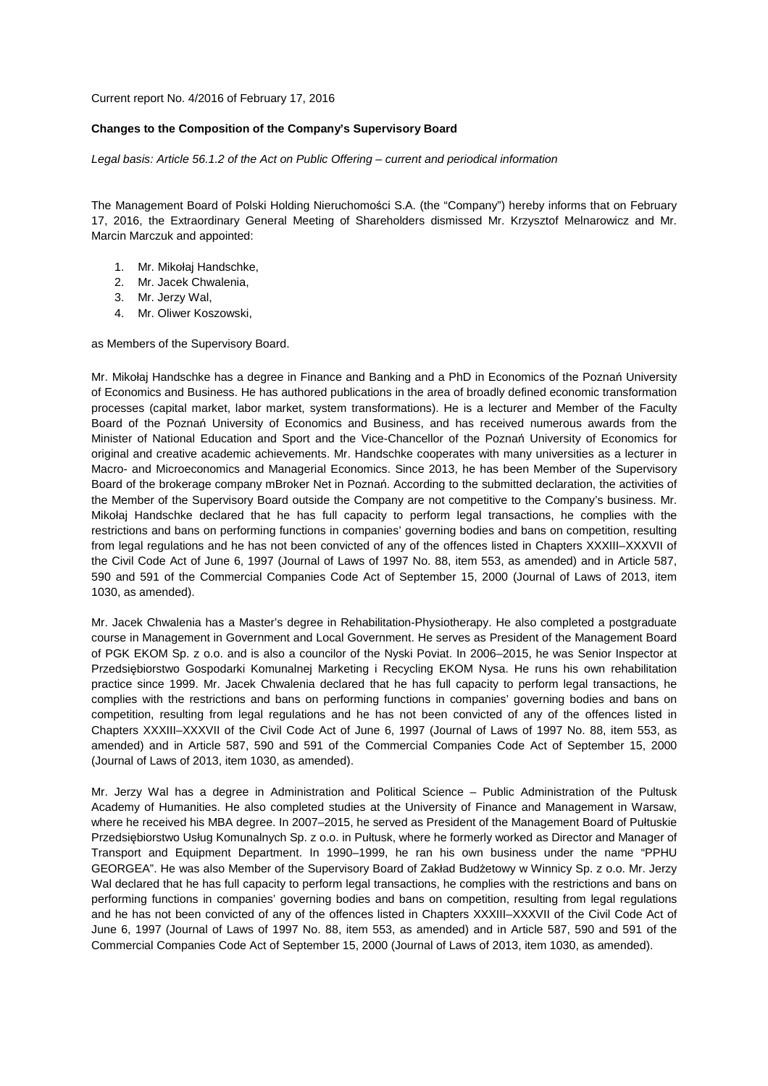Current report No. 4/2016 of February 17, 2016

## **Changes to the Composition of the Company's Supervisory Board**

Legal basis: Article 56.1.2 of the Act on Public Offering – current and periodical information

The Management Board of Polski Holding Nieruchomości S.A. (the "Company") hereby informs that on February 17, 2016, the Extraordinary General Meeting of Shareholders dismissed Mr. Krzysztof Melnarowicz and Mr. Marcin Marczuk and appointed:

- 1. Mr. Mikołaj Handschke,
- 2. Mr. Jacek Chwalenia,
- 3. Mr. Jerzy Wal,
- 4. Mr. Oliwer Koszowski,

as Members of the Supervisory Board.

Mr. Mikołaj Handschke has a degree in Finance and Banking and a PhD in Economics of the Poznań University of Economics and Business. He has authored publications in the area of broadly defined economic transformation processes (capital market, labor market, system transformations). He is a lecturer and Member of the Faculty Board of the Poznań University of Economics and Business, and has received numerous awards from the Minister of National Education and Sport and the Vice-Chancellor of the Poznań University of Economics for original and creative academic achievements. Mr. Handschke cooperates with many universities as a lecturer in Macro- and Microeconomics and Managerial Economics. Since 2013, he has been Member of the Supervisory Board of the brokerage company mBroker Net in Poznań. According to the submitted declaration, the activities of the Member of the Supervisory Board outside the Company are not competitive to the Company's business. Mr. Mikołaj Handschke declared that he has full capacity to perform legal transactions, he complies with the restrictions and bans on performing functions in companies' governing bodies and bans on competition, resulting from legal regulations and he has not been convicted of any of the offences listed in Chapters XXXIII–XXXVII of the Civil Code Act of June 6, 1997 (Journal of Laws of 1997 No. 88, item 553, as amended) and in Article 587, 590 and 591 of the Commercial Companies Code Act of September 15, 2000 (Journal of Laws of 2013, item 1030, as amended).

Mr. Jacek Chwalenia has a Master's degree in Rehabilitation-Physiotherapy. He also completed a postgraduate course in Management in Government and Local Government. He serves as President of the Management Board of PGK EKOM Sp. z o.o. and is also a councilor of the Nyski Poviat. In 2006–2015, he was Senior Inspector at Przedsiębiorstwo Gospodarki Komunalnej Marketing i Recycling EKOM Nysa. He runs his own rehabilitation practice since 1999. Mr. Jacek Chwalenia declared that he has full capacity to perform legal transactions, he complies with the restrictions and bans on performing functions in companies' governing bodies and bans on competition, resulting from legal regulations and he has not been convicted of any of the offences listed in Chapters XXXIII–XXXVII of the Civil Code Act of June 6, 1997 (Journal of Laws of 1997 No. 88, item 553, as amended) and in Article 587, 590 and 591 of the Commercial Companies Code Act of September 15, 2000 (Journal of Laws of 2013, item 1030, as amended).

Mr. Jerzy Wal has a degree in Administration and Political Science – Public Administration of the Pultusk Academy of Humanities. He also completed studies at the University of Finance and Management in Warsaw, where he received his MBA degree. In 2007–2015, he served as President of the Management Board of Pułtuskie Przedsiębiorstwo Usług Komunalnych Sp. z o.o. in Pułtusk, where he formerly worked as Director and Manager of Transport and Equipment Department. In 1990–1999, he ran his own business under the name "PPHU GEORGEA". He was also Member of the Supervisory Board of Zakład Budżetowy w Winnicy Sp. z o.o. Mr. Jerzy Wal declared that he has full capacity to perform legal transactions, he complies with the restrictions and bans on performing functions in companies' governing bodies and bans on competition, resulting from legal regulations and he has not been convicted of any of the offences listed in Chapters XXXIII–XXXVII of the Civil Code Act of June 6, 1997 (Journal of Laws of 1997 No. 88, item 553, as amended) and in Article 587, 590 and 591 of the Commercial Companies Code Act of September 15, 2000 (Journal of Laws of 2013, item 1030, as amended).